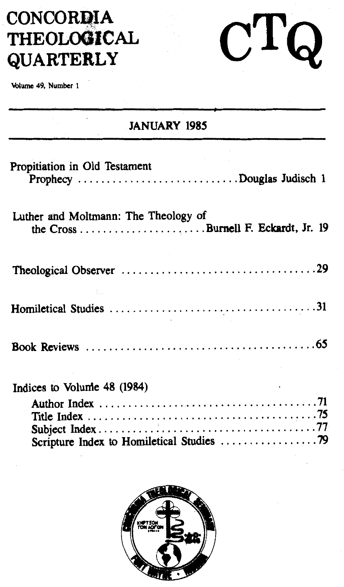# **CONCORDIA THEOLOOICAL QUARTERLY**

\blume 49, Number 1

### **JANUARY 1985**

 $C T Q$ 

| Propitiation in Old Testament<br>Prophecy Douglas Judisch 1                                                                |  |
|----------------------------------------------------------------------------------------------------------------------------|--|
| Luther and Moltmann: The Theology of<br>the $Cross \ldots \ldots \ldots \ldots \ldots \ldots$ . Burnell F. Eckardt, Jr. 19 |  |
|                                                                                                                            |  |
|                                                                                                                            |  |
|                                                                                                                            |  |
| Indices to Volume 48 (1984)                                                                                                |  |

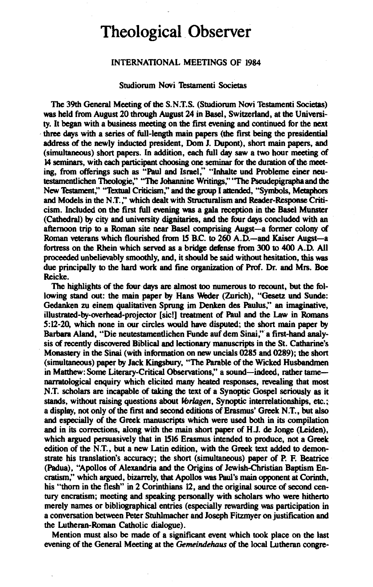## **Theological Observer**

#### INTERNATIONAL MEETINGS OF 1984

#### Studiorum Novi Testamenti Societas

The 39th General Meeting of the S.N.T.S. (Studiorum Novi Testamenti Societas) was held from August 20 through August 24 in Basel, Switzerland, at the University. lt began with a business meeting on the first evening and continued for the next three days with a series of full-length main papers (the first being the presidential address of the newly inducted president, Dom J. Dupont), short main papers, and (simultaneous) short papers. In addition, each füll day saw a two hour meeting of 14 seminars, with each participant choosing one seminar for the duration of the meeting, from offerings such as "Paul and Israel," "Inhalte und Probleme einer neutestamentlichen Theologie," "Tbc Johannine Writings," "The Pseudepigraphaand the New Testament," "Textual Criticism," and the group I attended, "Symbols, Metaphors and Models in the N .T. ," which dealt with Structuralism and Reader-Response Criticism. Included on the first full evening was a gala reception in the Basel Munster (Cathedral) by city and university dignitaries, and the four days concluded with an afternoon trip to a Roman site near Basel comprising Augst-a former colony of Roman veterans which flourished from *15* B.C. to 260 A.D.-and Kaiser Augst-a fortress on the Rhein which served as a bridge defense from 300 to 400 A.D. All proceeded unbelievably smoothly, and, it should be said without hesitation, this was due principally to the hard work and fine organization of Prof. Dr. and Mrs. Boe Reicke.

The highlights of the four days are almost too numerous to recount, but the following stand out: the main paper by Hans Weder (Zurich), "Gesetz und Sunde: Gedanken zu einem qualitativen Sprung im Denken des Paulus," an imaginative, illustrated-by-overhead-projector [sie!] treatment of Paul and the Law in Romans  $5:12-20$ , which none in our circles would have disputed; the short main paper by Barbara Aland, "Die neutestamentlichen Funde auf dem Sinai," a first-hand analysis of recently discovered Biblical and lectionary manuscripts in the St. Catharine's Monastery in the Sinai (with information on new uncials 0285 and 0289); the short (simultaneous) paper by Jack Kingsbury, "The Parable of the Wicked Husbandmen in Matthew: Some Literary-Critical Observations," a sound-indeed, rather tamenarratological enquiry which elicited many heated responses, revealing that most N.T. scholars are incapable of taking the text of a Synoptic Gospel seriously as it stands, without raising questions about *lbrlagen,* Synoptic interrelationships, etc.; a display, not only of the first and second editions of Erasmus' Greek N .T., but also and especially of the Greek manuscripts which were used both in its compilation and in its corrections, along with the main short paper of H.J. de Jonge (Leiden), which argued persuasively that in 1516 Erasmus intended to produce, not a Greek edition of the N.T., but a new Latin edition, with the Greek text added to demonstrate his translation's accuracy; the short (simultaneous) paper of P. F. Beatrice (Padua), "Apollos of Alexandria and the Origins of Jewish-Christian Baptism Encratism;' which argued, bizarrely, that Apollos was Paul's main opponent atCorinth, his "thom in the flesh" in 2 Corinthians 12, and the original source of second century encratism; meeting and speaking personally with scholars who were hitherto merely names or bibliographical entries (especially rewarding was participation in a conversation between Peter Stuhlmacher and Joseph Fitzmyer on justification and the Lutheran-Roman Catholic dialogue).

Mention must also be made of a significant event which took place on the last evening of the General Meeting at the *Gemeindehaus* of the local Lutheran congre-